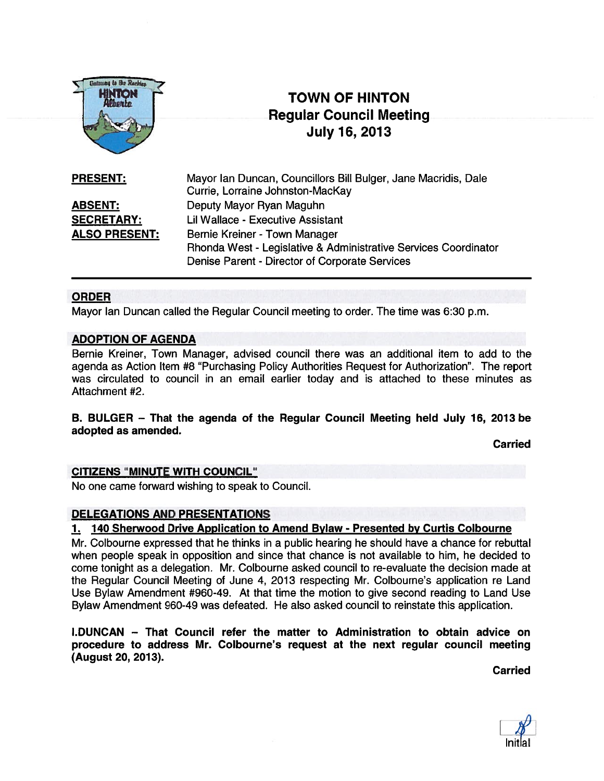

# **TOWN OF HINTON** Regular Council Meeting<br>July 16, 2013

| <b>PRESENT:</b>      | Mayor Ian Duncan, Councillors Bill Bulger, Jane Macridis, Dale  |
|----------------------|-----------------------------------------------------------------|
|                      | Currie, Lorraine Johnston-MacKay                                |
| <b>ABSENT:</b>       | Deputy Mayor Ryan Maguhn                                        |
| <b>SECRETARY:</b>    | Lil Wallace - Executive Assistant                               |
| <b>ALSO PRESENT:</b> | Bernie Kreiner - Town Manager                                   |
|                      | Rhonda West - Legislative & Administrative Services Coordinator |
|                      | Denise Parent - Director of Corporate Services                  |

#### ORDER

Mayor Ian Duncan called the Regular Council meeting to order. The time was 6:30 p.m.

#### ADOPTION OF AGENDA

Bernie Kreiner, Town Manager, advised council there was an additional item to add to the agenda as Action Item #8 "Purchasing Policy Authorities Request for Authorization". The repor<sup>t</sup> was circulated to council in an email earlier today and is attached to these minutes as Attachment #2.

B. BULGER — That the agenda of the Regular Council Meeting held July 16, 2013 be adopted as amended.

Carried

#### CITIZENS "MINUTE WITH COUNCIL"

No one came forward wishing to speak to Council.

#### DELEGATIONS AND PRESENTATIONS

#### 1. 140 Sherwood Drive Application to Amend Bylaw - Presented by Curtis Colbourne

Mr. Colbourne expressed that he thinks in <sup>a</sup> public hearing he should have <sup>a</sup> chance for rebuttal when people speak in opposition and since that chance is not available to him, he decided to come tonight as <sup>a</sup> delegation. Mr. Colbourne asked council to re-evaluate the decision made at the Regular Council Meeting of June 4, 2013 respecting Mr. Colbourne's application re Land Use Bylaw Amendment #960-49. At that time the motion to give second reading to Land Use Bylaw Amendment 960-49 was defeated. He also asked council to reinstate this application.

I.DUNCAN — That Council refer the matter to Administration to obtain advice on procedure to address Mr. Colbourne's reques<sup>t</sup> at the next regular council meeting (August 20, 2013).

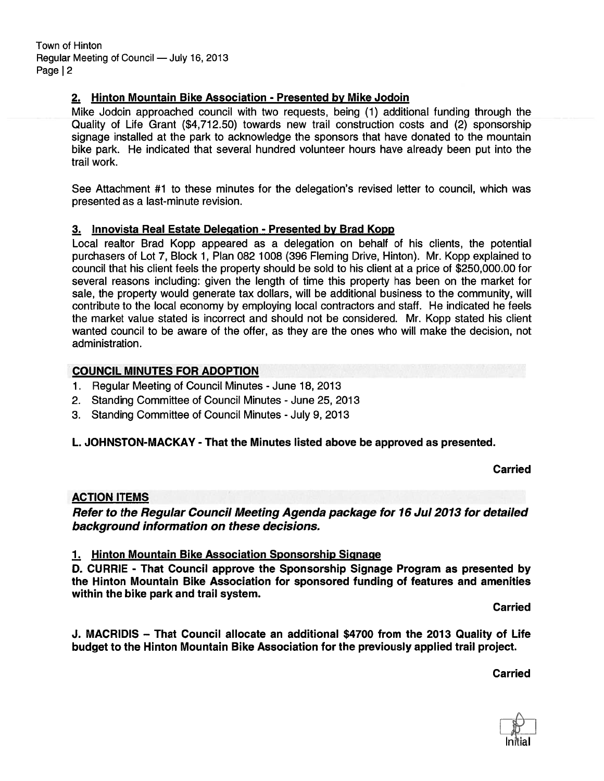#### 2. Hinton Mountain Bike Association - Presented by Mike Jodoin

Mike Jodoin approached council with two requests, being (1) additional funding through the Quality of Life Grant (\$4,712.50) towards new trail construction costs and (2) sponsorship signage installed at the park to acknowledge the sponsors that have donated to the mountain bike park. He indicated that several hundred volunteer hours have already been pu<sup>t</sup> into the trail work.

See Attachment #1 to these minutes for the delegation's revised letter to council, which was presented as <sup>a</sup> last-minute revision.

#### 3. Innovista Real Estate Delegation - Presented by Brad Kopp

Local realtor Brad Kopp appeared as <sup>a</sup> delegation on behalf of his clients, the potential purchasers of Lot 7, Block 1, Plan 082 1008 (396 Fleming Drive, Hinton). Mr. Kopp explained to council that his client feels the property should be sold to his client at <sup>a</sup> price of \$250,000.00 for several reasons including: given the length of time this property has been on the market for sale, the property would generate tax dollars, will be additional business to the community, will contribute to the local economy by employing local contractors and staff. He indicated he feels the market value stated is incorrect and should not be considered. Mr. Kopp stated his client wanted council to be aware of the offer, as they are the ones who will make the decision, not administration.

#### COUNCIL MINUTES FOR ADOPTION

- 1. Regular Meeting of Council Minutes June 18, 2013
- 2. Standing Committee of Council Minutes June 25, 2013
- 3. Standing Committee of Council Minutes July 9, 2013

#### L. JOHNSTON-MACKAY - That the Minutes listed above be approved as presented.

Carried

#### ACTION ITEMS

Refer to the Regular Council Meeting Agenda package for 16 Jul 2013 for detailed background information on these decisions.

#### 1. Hinton Mountain Bike Association Sponsorship Signage

D. CURRIE - That Council approve the Sponsorship Signage Program as presented by the Hinton Mountain Bike Association for sponsored funding of features and amenities within the bike park and trail system.

**Carried** 

J. MACRIDIS — That Council allocate an additional \$4700 from the 2013 Quality of Life budget to the Hinton Mountain Bike Association for the previously applied trail project.

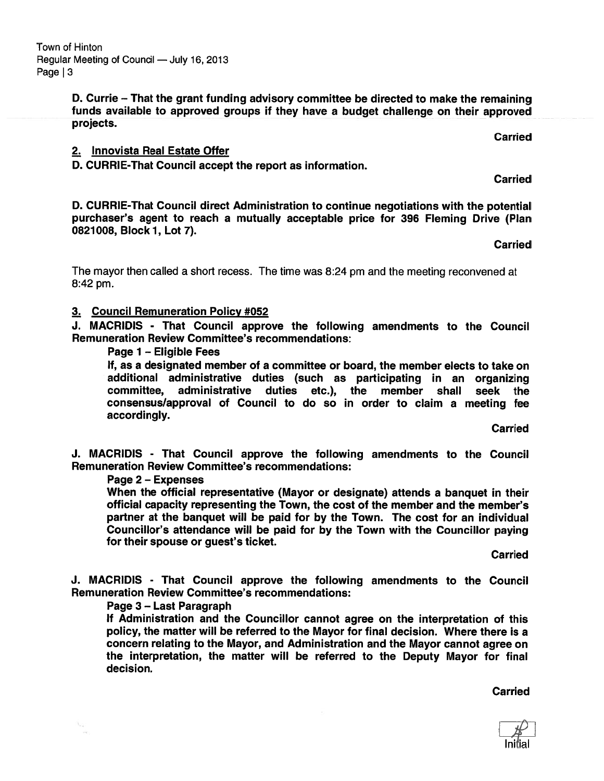Town of Hinton Regular Meeting of Council — July 16, 2013 Page | 3

> D. Currie — That the gran<sup>t</sup> funding advisory committee be directed to make the remaining funds available to approve<sup>d</sup> groups if they have <sup>a</sup> budget challenge on their approve<sup>d</sup> projects.

#### 2. Innovista Real Estate Offer

0. CURRIE-That Council accep<sup>t</sup> the repor<sup>t</sup> as information.

D. CURRIE-That Council direct Administration to continue negotiations with the potential purchaser's agen<sup>t</sup> to reach <sup>a</sup> mutually acceptable price for 396 Fleming Drive (Plan 0821008, Block 1, Lot 7).

Carried

The mayor then called <sup>a</sup> short recess. The time was 8:24 pm and the meeting reconvened at 8:42 pm.

#### 3. Council Remuneration Policy #052

J. MACRIDIS - That Council approve the following amendments to the Council Remuneration Review Committee's recommendations:

#### Page 1 — Eligible Fees

If, as <sup>a</sup> designated member of <sup>a</sup> committee or board, the member elects to take on additional administrative duties (such as participating in an organizing committee, administrative duties etc.), the member shall seek the consensus/approval of Council to do so in order to claim <sup>a</sup> meeting fee accordingly.

**Carried** 

J. MACRIDIS - That Council approve the following amendments to the Council Remuneration Review Committee's recommendations:

#### Page 2 — Expenses

When the official representative (Mayor or designate) attends <sup>a</sup> banquet in their official capacity representing the Town, the cost of the member and the member's partner at the banquet will be paid for by the Town. The cost for an individual Councillor's attendance will be paid for by the Town with the Councillor paying for their spouse or guest's ticket.

Carried

J. MACRIDIS - That Council approve the following amendments to the Council Remuneration Review Committee's recommendations:

Page 3— Last Paragraph

If Administration and the Councillor cannot agree on the interpretation of this policy, the matter will be referred to the Mayor for final decision. Where there is <sup>a</sup> concern relating to the Mayor, and Administration and the Mayor cannot agree on the interpretation, the matter will be referred to the Deputy Mayor for final decision.

Carried

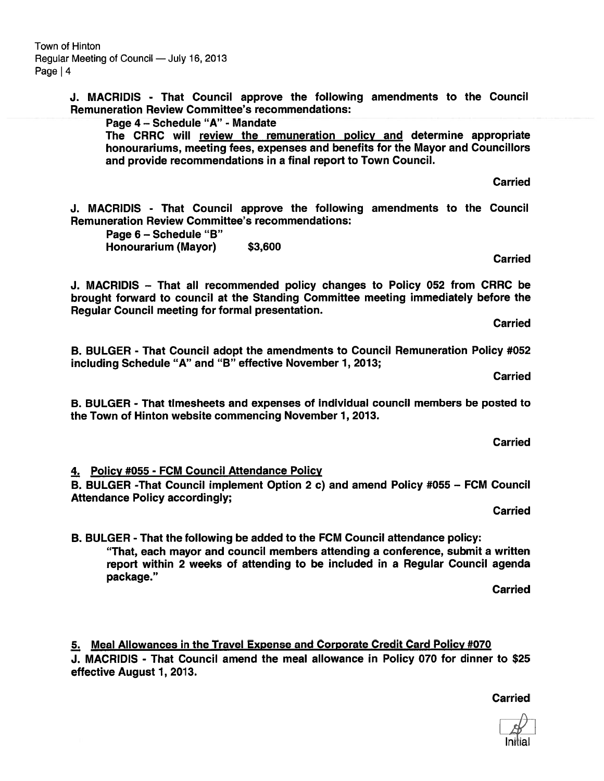Town of Hinton Regular Meeting of Council — July 16, 2013 Page  $|4$ 

> J. MACRIDIS - That Council approve the following amendments to the Council Remuneration Review Committee's recommendations:

Page 4— Schedule "A" - Mandate

The CRRC will review the remuneration policy and determine appropriate honourariums, meeting fees, expenses and benefits for the Mayor and Councillors and provide recommendations in <sup>a</sup> final repor<sup>t</sup> to Town Council.

Carried

J. MACRIDIS - That Council approve the following amendments to the Council Remuneration Review Committee's recommendations:

Page 6 — Schedule "B" Honourarium (Mayor) \$3,600

J. MACRIDIS — That all recommended policy changes to Policy 052 from CRRC be brought forward to council at the Standing Committee meeting immediately before the Regular Council meeting for formal presentation.

Carried

**Carried** 

B. BULGER - That Council adopt the amendments to Council Remuneration Policy #052 including Schedule "A" and "B" effective November 1, 2013;

**Carried** 

Carried

B. BULGER - That timesheets and expenses of individual council members be posted to the Town of Hinton website commencing November 1, 2013.

4. Policy #055 - FCM Council Attendance Policy

B. BULGER -That Council implement Option 2 c) and amend Policy #055 — FCM Council Attendance Policy accordingly;

**Carried** 

B. BULGER -That the following be added to the FCM Council attendance policy: "That, each mayor and council members attending <sup>a</sup> conference, submit <sup>a</sup> written repor<sup>t</sup> within 2 weeks of attending to be included in <sup>a</sup> Regular Council agenda package."

Carried

5. Meal Allowances in the Travel Expense and Corporate Credit Card Policy #070 J. MACRIDIS - That Council amend the meal allowance in Policy 070 for dinner to \$25 effective August 1, 2013.

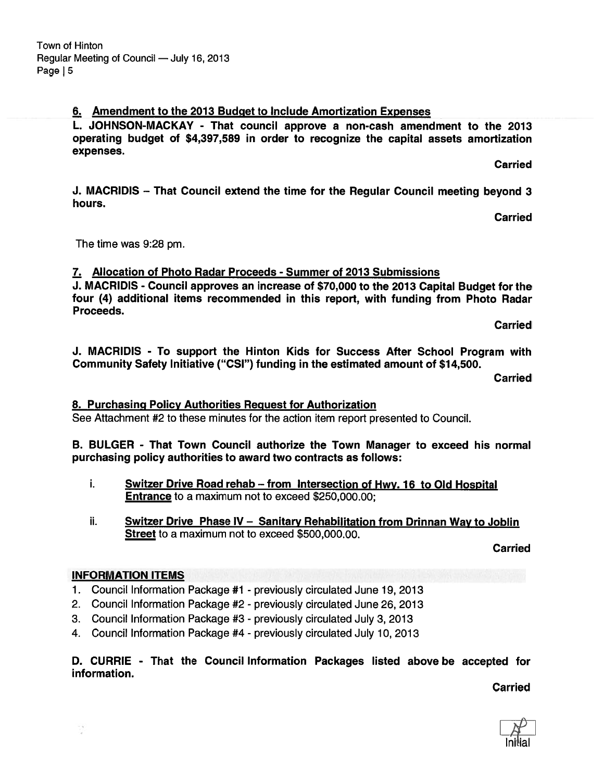#### 6. Amendment to the 2013 Budget to Include Amortization Expenses

L. JOHNSON-MACKAY - That council approve <sup>a</sup> non-cash amendment to the 2013 operating budget of \$4,397,589 in order to recognize the capital assets amortization expenses.

Carried

J. MACRIDIS — That Council extend the time for the Regular Council meeting beyond 3 hours.

Carried

The time was 9:28 pm.

#### 7. Allocation of Photo Radar Proceeds - Summer of 2013 Submissions

J. MACRIDIS - Council approves an increase of \$70,000 to the 2013 Capital Budget for the four (4) additional items recommended in this report, with funding from Photo Radar Proceeds.

**Carried** 

J. MACRIDIS - To suppor<sup>t</sup> the Hinton Kids for Success After School Program with Community Safety Initiative ("CSI") funding in the estimated amount of \$14,500.

**Carried** 

## 8. Purchasing Policy Authorities Request for Authorization

See Attachment #2 to these minutes for the action item repor<sup>t</sup> presented to Council.

#### B. BULGER - That Town Council authorize the Town Manager to exceed his normal purchasing policy authorities to award two contracts as follows:

- i. Switzer Drive Road rehab — from Intersection of Hwy. 16 to Old Hospital Entrance to <sup>a</sup> maximum not to exceed \$250,000.00;
- ii. Switzer Drive Phase IV Sanitary Rehabilitation from Drinnan Way to Joblin Street to a maximum not to exceed \$500,000.00.

Carried

#### INFORMATION ITEMS

- 1. Council Information Package #1 previously circulated June 19, 2013
- 2. Council Information Package #2 previously circulated June 26, 2013
- 3. Council Information Package #3 previously circulated July 3, 2013
- 4. Council Information Package #4 previously circulated July 10, 2013

D. CURRIE - That the Council Information Packages listed above be accepted for information.

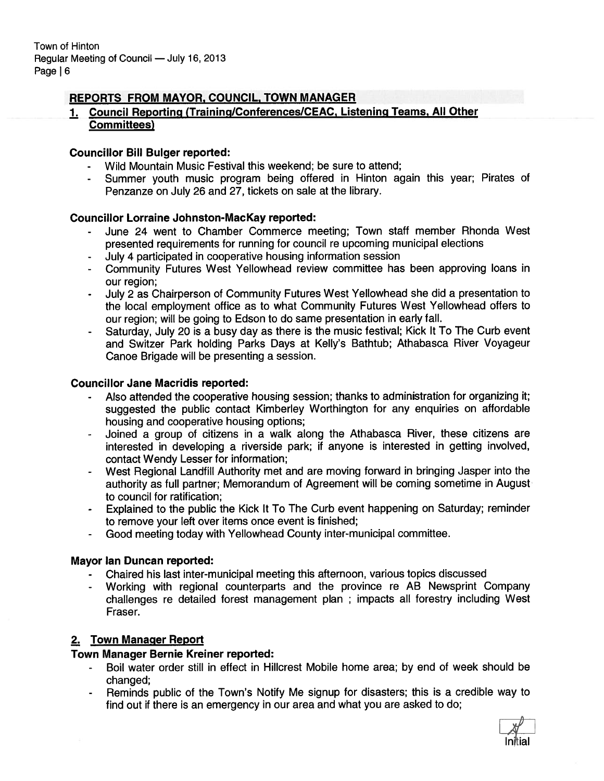#### REPORTS FROM MAYOR, COUNCIL, TOWN MANAGER

#### 1. Council Reporting (Training/Conferences/CEAC, Listening Teams, All Other Committees)

#### Councillor Bill Bulger reported:

- Wild Mountain Music Festival this weekend; be sure to attend;
- Summer youth music program being offered in Hinton again this year; Pirates of Penzanze on July 26 and 27, tickets on sale at the library.

#### Councillor Lorraine Johnston-Mackay reported:

- June 24 went to Chamber Commerce meeting; Town staff member Rhonda West presented requirements for running for council re upcoming municipal elections
- July 4 participated in cooperative housing information session
- Community Futures West Yellowhead review committee has been approving loans in our region;
- July <sup>2</sup> as Chairperson of Community Futures West Yellowhead she did <sup>a</sup> presentation to the local employment office as to what Community Futures West Yellowhead offers to our region; will be going to Edson to do same presentation in early fall.
- Saturday, July <sup>20</sup> is <sup>a</sup> busy day as there is the music festival; Kick It To The Curb event and Switzer Park holding Parks Days at Kelly's Bathtub; Athabasca River Voyageur Canoe Brigade will be presenting <sup>a</sup> session.

#### Councillor Jane Macridis reported:

- Also attended the cooperative housing session; thanks to administration for organizing it; suggested the public contact Kimberley Worthington for any enquiries on affordable housing and cooperative housing options;
- Joined <sup>a</sup> group of citizens in <sup>a</sup> walk along the Athabasca River, these citizens are interested in developing <sup>a</sup> riverside park; if anyone is interested in getting involved, contact Wendy Lesser for information;
- West Regional Landfill Authority met and are moving forward in bringing Jasper into the authority as full partner; Memorandum of Agreement will be coming sometime in August to council for ratification;
- Explained to the public the Kick It To The Curb event happening on Saturday; reminder to remove your left over items once event is finished;
- Good meeting today with Yellowhead County inter-municipal committee.

#### Mayor Ian Duncan reported:

- Chaired his last inter-municipal meeting this afternoon, various topics discussed
- Working with regional counterparts and the province re AB Newsprint Company challenges re detailed forest managemen<sup>t</sup> <sup>p</sup>lan ; impacts all forestry including West Fraser.

#### 2. Town Manager Report

#### Town Manager Bernie Kreiner reported:

- Boil water order still in effect in Hillcrest Mobile home area; by end of week should be changed;
- Reminds public of the Town's Notify Me signup for disasters; this is <sup>a</sup> credible way to find out if there is an emergency in our area and what you are asked to do;

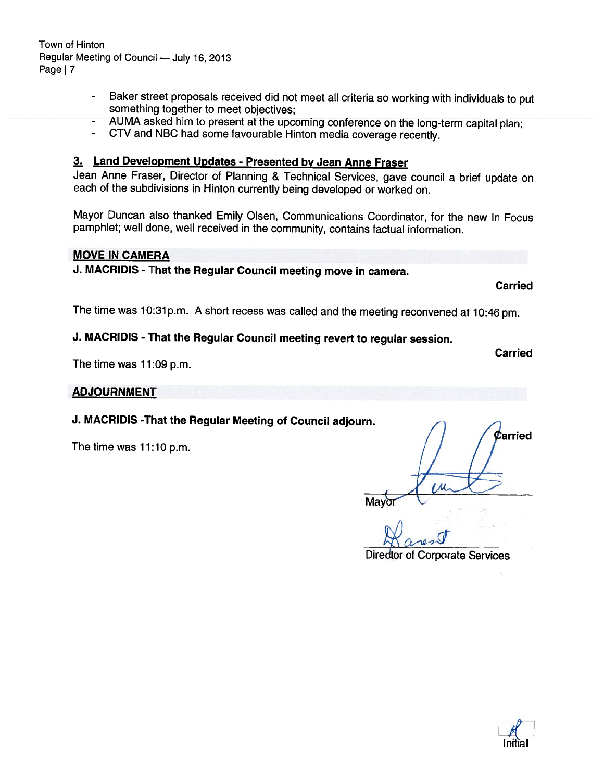Town of Hinton Regular Meeting of Council — July 16, 2013 Page | 7

- Baker street proposals received did not meet all criteria so working with individuals to put something together to meet objectives;
- AUMA asked him to present at the upcoming conference on the long-term capital plan;<br>- CTV and NBC had some favourable Hinton media coverage receptive
- CTV and NBC had some favourable Hinton media coverage recently.

#### 3. Land Development Updates - Presented by Jean Anne Fraser

Jean Anne Fraser, Director of Planning & Technical Services, gave council <sup>a</sup> brief update on each of the subdivisions in Hinton currently being developed or worked on.

Mayor Duncan also thanked Emily Olsen, Communications Coordinator, for the new In Focus pamphlet; well done, well received in the community, contains factual information.

#### MOVE IN CAMERA

J. MACRIDIS -That the Regular Council meeting move in camera.

Carried

The time was 10:31p.m. <sup>A</sup> short recess was called and the meeting reconvened at 10:46 pm.

#### J. MACRIDIS - That the Regular Council meeting revert to regular session.

Carried

The time was 11:09 p.m.

#### **ADJOURNMENT**

#### J. MACRIDIS -That the Regular Meeting of Council adjourn.

The time was  $11:10$  p.m.

**Carried** Mavo

Diredtor of Corporate Services

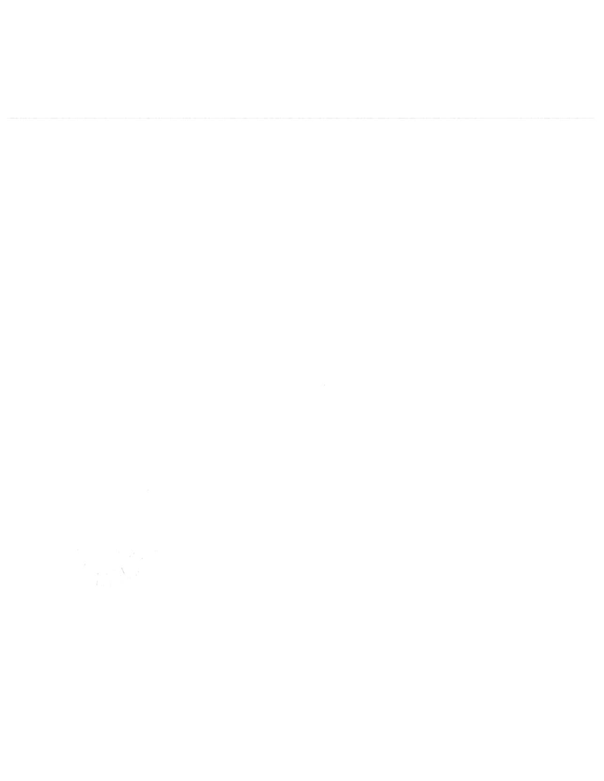$\begin{array}{ccccc} a & & a & a & a \\ & & \ddots & & \\ & g & & \ddots & \\ & & g & & g \\ & & g & & g \end{array}$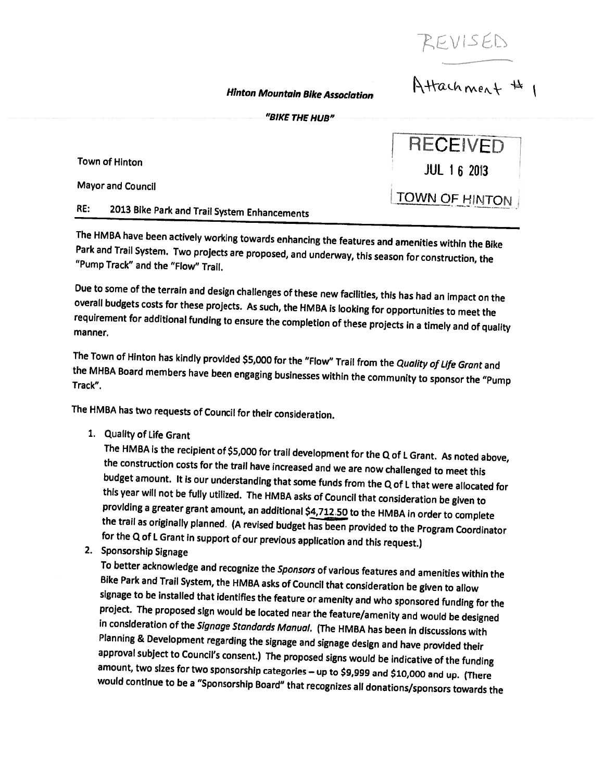REVISED

Hinton Mountain Bike Association

"BIKE THE HUB"

Mayor and Council

RE: 2013 Bike Park and Trail System Enhancements TOWN OF HINTON

The HMBA have been actively working towards enhancing the features and amenities within the Bike<br>Park and Trail System. Two projects are proposed, and underway, this season for construction, the<br>"Pump Track" and the "Flow"

Due to some of the terrain and design challenges of these new facilities, this has had an impact on the overall budgets costs for these projects. As such, the HMBA is looking for opportunities to meet the requirement for a

The Town of Hinton has kindly provided \$5,000 for the "Flow" Trail from the Quality of Life Grant and the MHBA Board members have been engaging businesses within the community to sponsor the "Pump Track".

The HMBA has two requests of Council for their consideration.

1. Quality of Life Grant

The HMBA is the recipient of \$5,000 for trail development for the Q of L Grant. As noted above, the construction costs for the trail have increased and we are now challenged to meet this budget amount. It is our understanding that some funds from the Q of L that were allocated for this year will not be fully utilize providing a greater grant amount, an additional \$4,712.50 to the HMBA in order to complete<br>the trail as originally planned. (A revised budget has been provided to the Program Coordinator for the Q of L Grant in support of our previous application and this request.)<br>2. Sponsorship Signage

To better acknowledge and recognize the *Sponsors* of various features and amenities within the Bike Park and Trail System, the HMBA asks of Council that consideration be given to allow signage to be installed that identif approval subject to Council's consent.) The proposed signs would be indicative of the funding<br>amount, two sizes for two sponsorship categories – up to \$9,999 and \$10,000 and up. (There would continue to be a "Sponsorship Board" that recognizes all donations/sponsors towards the

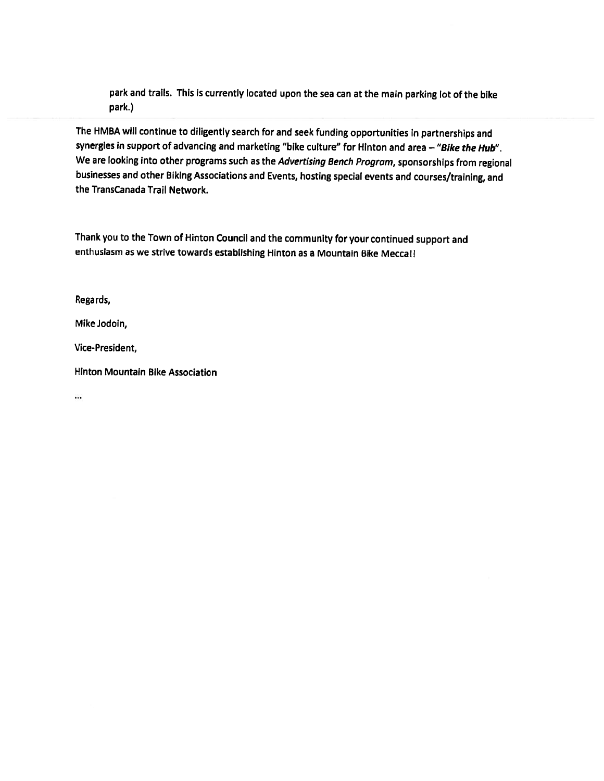park and trails. This is currently located upon the sea can at the main parking lot of the bike park.)

The HMBA will continue to diligently search for and seek funding opportunities in partnerships and synergies in support of advancing and marketing "bike culture" for Hinton and area — "Bike the Hub". We are looking into other programs such as the Advertising Bench Program, sponsorships from regional businesses and other Biking Associations and Events, hosting special events and courses/training, and the TransCanada Trail Network.

Thank you to the Town of Hinton Council and the community for your continued support and enthusiasm as we strive towards establishing Hinton as <sup>a</sup> Mountain Bike Mecca II

Regards,

Mike Jodoin,

Vice-President,

Hinton Mountain Bike Association

 $\cdots$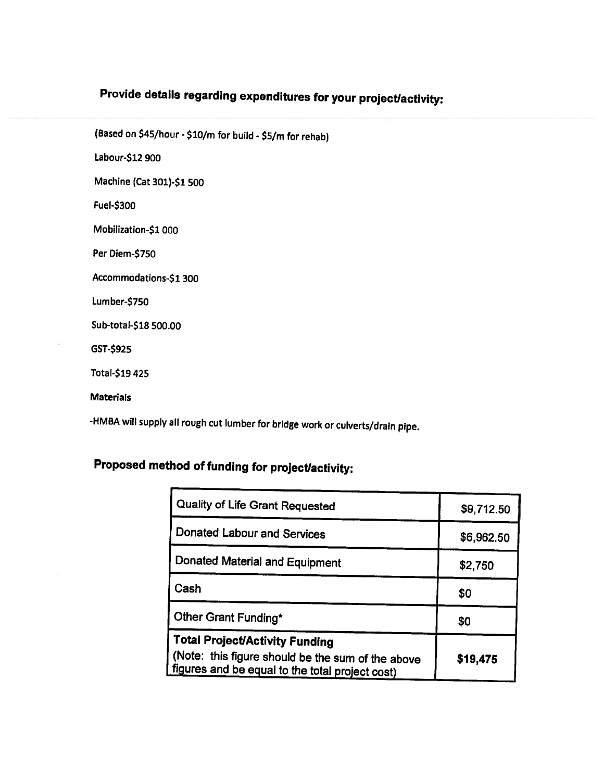## Provide details regarding expenditures for your project/activity:

(Based on \$45/hour - \$10/m for build - \$5/m for rehab)

Labour-\$12 900

Machine (Cat 301)-\$1 500

Fuel-\$300

Mobilization-\$l 000

Per Diem-\$750

Accommodations-\$1 300

Lumber-\$750

Sub-total-\$18 500.00

GST-\$925

Total-\$19 425

Materials

-HMBA will supply all rough cut lumber for bridge work or culverts/drain <sup>p</sup>ipe.

### Proposed method of funding for project/activity:

| <b>Quality of Life Grant Requested</b>                                                                                                        | \$9,712.50 |
|-----------------------------------------------------------------------------------------------------------------------------------------------|------------|
| Donated Labour and Services                                                                                                                   | \$6,962.50 |
| Donated Material and Equipment                                                                                                                | \$2,750    |
| Cash                                                                                                                                          | \$0        |
| Other Grant Funding*                                                                                                                          | \$0        |
| <b>Total Project/Activity Funding</b><br>(Note: this figure should be the sum of the above<br>figures and be equal to the total project cost) | \$19,475   |